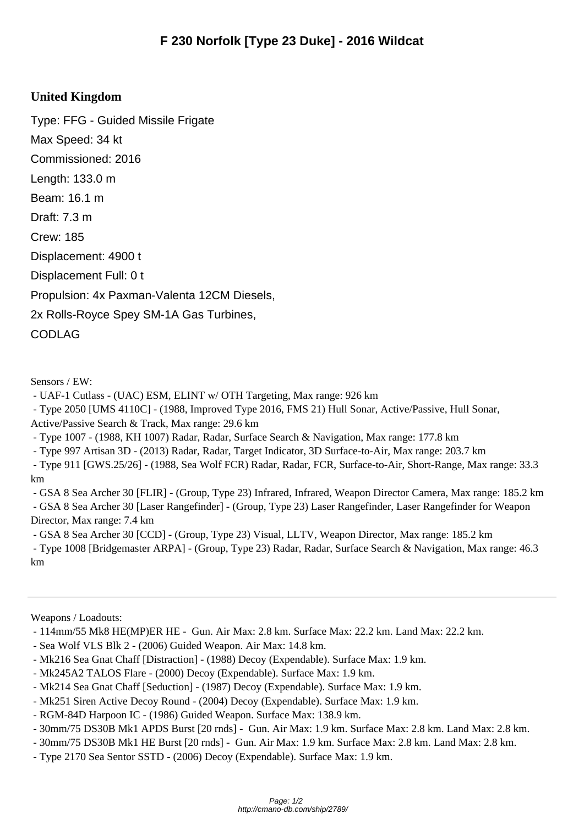## **United Kingdom**

Type: FFG - Guided Missile Frigate Max Speed: 34 kt Commissioned: 2016 Length: 133.0 m Beam: 16.1 m Draft: 7.3 m Crew: 185 Displacement: 4900 t Displacement Full: 0 t Propulsion: 4x Paxman-Valenta 12CM Diesels, 2x Rolls-Royce Spey SM-1A Gas Turbines, CODLAG

Sensors / EW:

- UAF-1 Cutlass - (UAC) ESM, ELINT w/ OTH Targeting, Max range: 926 km

- Type 2050 [UMS 4110C] - (1988, Improved Type 2016, FMS 21) Hull Sonar, Active/Passive, Hull Sonar,

Active/Passive Search & Track, Max range: 29.6 km

- Type 1007 - (1988, KH 1007) Radar, Radar, Surface Search & Navigation, Max range: 177.8 km

- Type 997 Artisan 3D - (2013) Radar, Radar, Target Indicator, 3D Surface-to-Air, Max range: 203.7 km

 - Type 911 [GWS.25/26] - (1988, Sea Wolf FCR) Radar, Radar, FCR, Surface-to-Air, Short-Range, Max range: 33.3 km

 - GSA 8 Sea Archer 30 [FLIR] - (Group, Type 23) Infrared, Infrared, Weapon Director Camera, Max range: 185.2 km - GSA 8 Sea Archer 30 [Laser Rangefinder] - (Group, Type 23) Laser Rangefinder, Laser Rangefinder for Weapon Director, Max range: 7.4 km

- GSA 8 Sea Archer 30 [CCD] - (Group, Type 23) Visual, LLTV, Weapon Director, Max range: 185.2 km

 - Type 1008 [Bridgemaster ARPA] - (Group, Type 23) Radar, Radar, Surface Search & Navigation, Max range: 46.3 km

Weapons / Loadouts:

- 114mm/55 Mk8 HE(MP)ER HE - Gun. Air Max: 2.8 km. Surface Max: 22.2 km. Land Max: 22.2 km.

- Sea Wolf VLS Blk 2 (2006) Guided Weapon. Air Max: 14.8 km.
- Mk216 Sea Gnat Chaff [Distraction] (1988) Decoy (Expendable). Surface Max: 1.9 km.
- Mk245A2 TALOS Flare (2000) Decoy (Expendable). Surface Max: 1.9 km.
- Mk214 Sea Gnat Chaff [Seduction] (1987) Decoy (Expendable). Surface Max: 1.9 km.
- Mk251 Siren Active Decoy Round (2004) Decoy (Expendable). Surface Max: 1.9 km.
- RGM-84D Harpoon IC (1986) Guided Weapon. Surface Max: 138.9 km.
- 30mm/75 DS30B Mk1 APDS Burst [20 rnds] Gun. Air Max: 1.9 km. Surface Max: 2.8 km. Land Max: 2.8 km.
- 30mm/75 DS30B Mk1 HE Burst [20 rnds] Gun. Air Max: 1.9 km. Surface Max: 2.8 km. Land Max: 2.8 km.
- Type 2170 Sea Sentor SSTD (2006) Decoy (Expendable). Surface Max: 1.9 km.